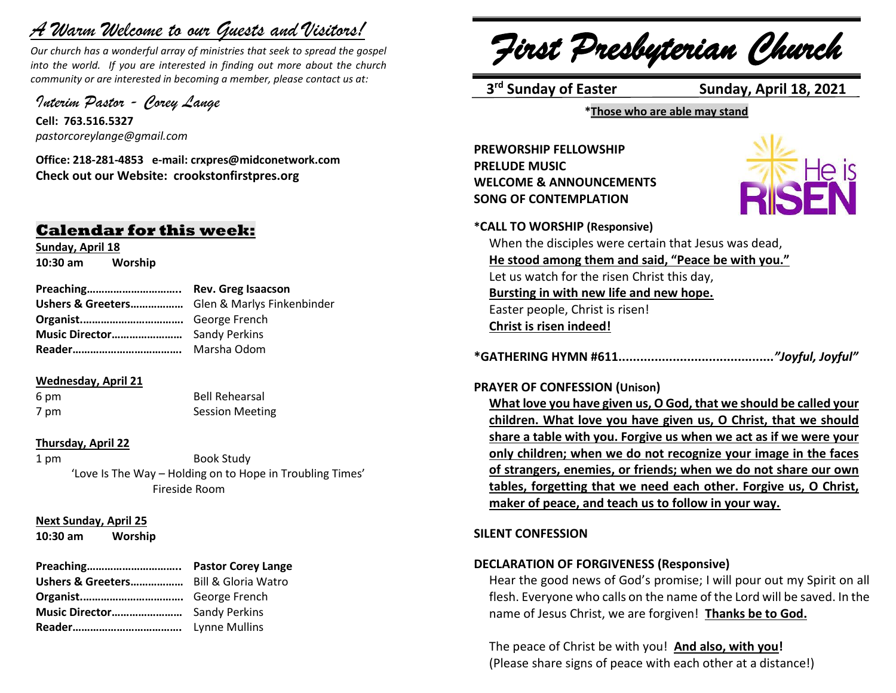# *A Warm Welcome to our Guests and Visitors!*

*Our church has a wonderful array of ministries that seek to spread the gospel into the world. If you are interested in finding out more about the church community or are interested in becoming a member, please contact us at:*

*Interim Pastor - Corey Lange* 

**Cell: 763.516.5327** *pastorcoreylange@gmail.com*

**Office: 218-281-4853 e-mail: crxpres@midconetwork.com Check out our Website: crookstonfirstpres.org**

## **Calendar for this week:**

**Sunday, April 18 10:30 am Worship** 

**Preaching………………………….. Rev. Greg Isaacson Ushers & Greeters………………** Glen & Marlys Finkenbinder **Organist.…………………………….** George French **Music Director……………………** Sandy Perkins **Reader……………………………….** Marsha Odom

## **Wednesday, April 21**

6 pm Bell Rehearsal 7 pm Session Meeting

## **Thursday, April 22**

1 pm Book Study 'Love Is The Way – Holding on to Hope in Troubling Times' Fireside Room

## **Next Sunday, April 25**

**10:30 am Worship** 

*First Presbyterian Church*

3<sup>rd</sup> Sunday of Easter

**Sunday, April 18, 2021** 

**\*Those who are able may stand**

**PREWORSHIP FELLOWSHIP PRELUDE MUSIC WELCOME & ANNOUNCEMENTS SONG OF CONTEMPLATION** 



**\*CALL TO WORSHIP (Responsive)**

When the disciples were certain that Jesus was dead, **He stood among them and said, "Peace be with you."** Let us watch for the risen Christ this day, **Bursting in with new life and new hope.** Easter people, Christ is risen! **Christ is risen indeed!**

**\*GATHERING HYMN #611...........................................***"Joyful, Joyful"*

## **PRAYER OF CONFESSION (Unison)**

**What love you have given us, O God, that we should be called your children. What love you have given us, O Christ, that we should share a table with you. Forgive us when we act as if we were your only children; when we do not recognize your image in the faces of strangers, enemies, or friends; when we do not share our own tables, forgetting that we need each other. Forgive us, O Christ, maker of peace, and teach us to follow in your way.**

## **SILENT CONFESSION**

## **DECLARATION OF FORGIVENESS (Responsive)**

Hear the good news of God's promise; I will pour out my Spirit on all flesh. Everyone who calls on the name of the Lord will be saved. In the name of Jesus Christ, we are forgiven! **Thanks be to God.**

The peace of Christ be with you! **And also, with you!** (Please share signs of peace with each other at a distance!)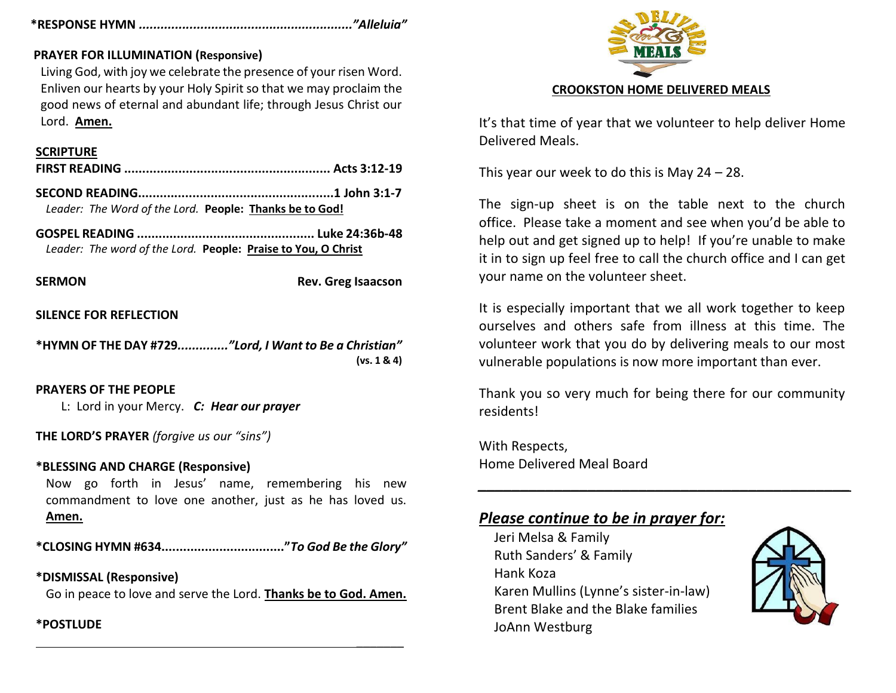## **\*RESPONSE HYMN** *..........................................................."Alleluia"*

## **PRAYER FOR ILLUMINATION (Responsive)**

Living God, with joy we celebrate the presence of your risen Word. Enliven our hearts by your Holy Spirit so that we may proclaim the good news of eternal and abundant life; through Jesus Christ our Lord. **Amen.**

## **SCRIPTURE**

|--|--|--|

**SECOND READING......................................................1 John 3:1-7** *Leader: The Word of the Lord.* **People: Thanks be to God!**

**GOSPEL READING ................................................. Luke 24:36b-48** *Leader: The word of the Lord.* **People: Praise to You, O Christ**

**SERMON** Rev. Greg Isaacson

 $\frac{1}{2}$ 

## **SILENCE FOR REFLECTION**

**\*HYMN OF THE DAY #729***.............."Lord, I Want to Be a Christian"* **(vs. 1 & 4)**

## **PRAYERS OF THE PEOPLE**

L: Lord in your Mercy. *C: Hear our prayer*

**THE LORD'S PRAYER** *(forgive us our "sins")* 

## **\*BLESSING AND CHARGE (Responsive)**

Now go forth in Jesus' name, remembering his new commandment to love one another, just as he has loved us. **Amen.**

**\*CLOSING HYMN #634.................................."***To God Be the Glory"*

**\*DISMISSAL (Responsive)** Go in peace to love and serve the Lord. **Thanks be to God. Amen.**

## **\*POSTLUDE**



It's that time of year that we volunteer to help deliver Home Delivered Meals.

This year our week to do this is May 24 – 28.

The sign-up sheet is on the table next to the church office. Please take a moment and see when you'd be able to help out and get signed up to help! If you're unable to make it in to sign up feel free to call the church office and I can get your name on the volunteer sheet.

It is especially important that we all work together to keep ourselves and others safe from illness at this time. The volunteer work that you do by delivering meals to our most vulnerable populations is now more important than ever.

Thank you so very much for being there for our community residents!

*\_\_\_\_\_\_\_\_\_\_\_\_\_\_\_\_\_\_\_\_\_\_\_\_\_\_\_\_\_\_\_\_\_\_\_\_\_\_\_\_\_\_\_\_*

With Respects, Home Delivered Meal Board

## *Please continue to be in prayer for:*

Jeri Melsa & Family Ruth Sanders' & Family Hank Koza Karen Mullins (Lynne's sister-in-law) Brent Blake and the Blake families JoAnn Westburg

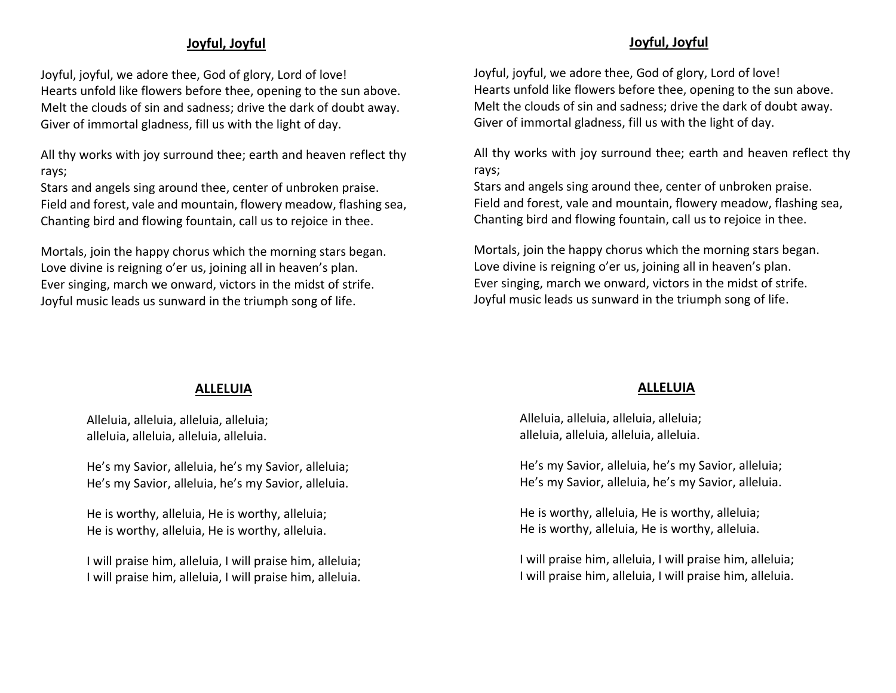## **Joyful, Joyful**

Joyful, joyful, we adore thee, God of glory, Lord of love! Hearts unfold like flowers before thee, opening to the sun above. Melt the clouds of sin and sadness; drive the dark of doubt away. Giver of immortal gladness, fill us with the light of day.

All thy works with joy surround thee; earth and heaven reflect thy rays;

Stars and angels sing around thee, center of unbroken praise. Field and forest, vale and mountain, flowery meadow, flashing sea, Chanting bird and flowing fountain, call us to rejoice in thee.

Mortals, join the happy chorus which the morning stars began. Love divine is reigning o'er us, joining all in heaven's plan. Ever singing, march we onward, victors in the midst of strife. Joyful music leads us sunward in the triumph song of life.

## **Joyful, Joyful**

Joyful, joyful, we adore thee, God of glory, Lord of love! Hearts unfold like flowers before thee, opening to the sun above. Melt the clouds of sin and sadness; drive the dark of doubt away. Giver of immortal gladness, fill us with the light of day.

All thy works with joy surround thee; earth and heaven reflect thy rays;

Stars and angels sing around thee, center of unbroken praise. Field and forest, vale and mountain, flowery meadow, flashing sea, Chanting bird and flowing fountain, call us to rejoice in thee.

Mortals, join the happy chorus which the morning stars began. Love divine is reigning o'er us, joining all in heaven's plan. Ever singing, march we onward, victors in the midst of strife. Joyful music leads us sunward in the triumph song of life.

## **ALLELUIA**

Alleluia, alleluia, alleluia, alleluia; alleluia, alleluia, alleluia, alleluia.

He's my Savior, alleluia, he's my Savior, alleluia; He's my Savior, alleluia, he's my Savior, alleluia.

He is worthy, alleluia, He is worthy, alleluia; He is worthy, alleluia, He is worthy, alleluia.

I will praise him, alleluia, I will praise him, alleluia; I will praise him, alleluia, I will praise him, alleluia.

## **ALLELUIA**

Alleluia, alleluia, alleluia, alleluia; alleluia, alleluia, alleluia, alleluia.

He's my Savior, alleluia, he's my Savior, alleluia; He's my Savior, alleluia, he's my Savior, alleluia.

He is worthy, alleluia, He is worthy, alleluia; He is worthy, alleluia, He is worthy, alleluia.

I will praise him, alleluia, I will praise him, alleluia; I will praise him, alleluia, I will praise him, alleluia.